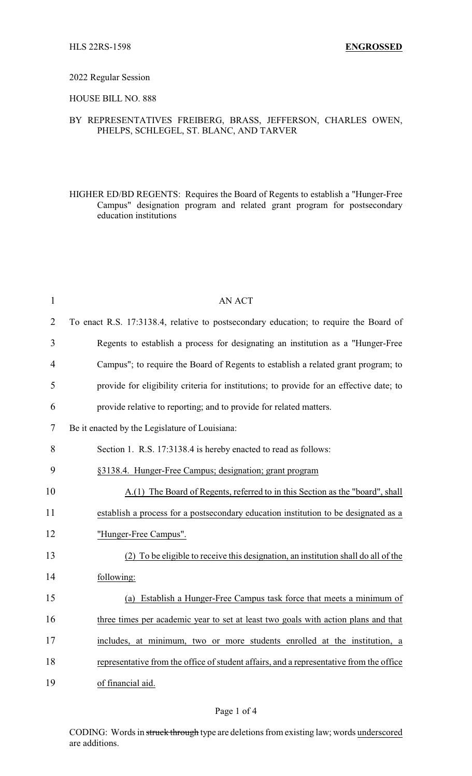#### 2022 Regular Session

### HOUSE BILL NO. 888

## BY REPRESENTATIVES FREIBERG, BRASS, JEFFERSON, CHARLES OWEN, PHELPS, SCHLEGEL, ST. BLANC, AND TARVER

HIGHER ED/BD REGENTS: Requires the Board of Regents to establish a "Hunger-Free Campus" designation program and related grant program for postsecondary education institutions

| $\mathbf{1}$   | <b>AN ACT</b>                                                                           |
|----------------|-----------------------------------------------------------------------------------------|
| $\overline{2}$ | To enact R.S. 17:3138.4, relative to postsecondary education; to require the Board of   |
| 3              | Regents to establish a process for designating an institution as a "Hunger-Free         |
| $\overline{4}$ | Campus"; to require the Board of Regents to establish a related grant program; to       |
| 5              | provide for eligibility criteria for institutions; to provide for an effective date; to |
| 6              | provide relative to reporting; and to provide for related matters.                      |
| 7              | Be it enacted by the Legislature of Louisiana:                                          |
| 8              | Section 1. R.S. 17:3138.4 is hereby enacted to read as follows:                         |
| 9              | §3138.4. Hunger-Free Campus; designation; grant program                                 |
| 10             | A.(1) The Board of Regents, referred to in this Section as the "board", shall           |
| 11             | establish a process for a postsecondary education institution to be designated as a     |
| 12             | "Hunger-Free Campus".                                                                   |
| 13             | (2) To be eligible to receive this designation, an institution shall do all of the      |
| 14             | following:                                                                              |
| 15             | (a) Establish a Hunger-Free Campus task force that meets a minimum of                   |
| 16             | three times per academic year to set at least two goals with action plans and that      |
| 17             | includes, at minimum, two or more students enrolled at the institution, a               |
| 18             | representative from the office of student affairs, and a representative from the office |
| 19             | of financial aid.                                                                       |

### Page 1 of 4

CODING: Words in struck through type are deletions from existing law; words underscored are additions.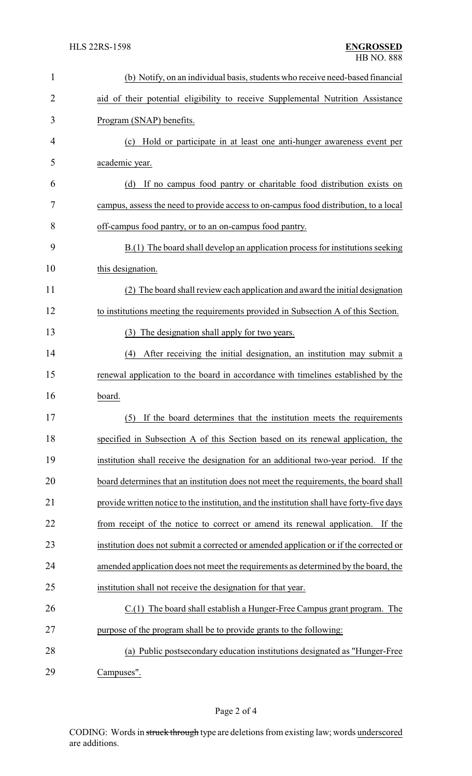| $\mathbf{1}$   | (b) Notify, on an individual basis, students who receive need-based financial             |
|----------------|-------------------------------------------------------------------------------------------|
| $\overline{2}$ | aid of their potential eligibility to receive Supplemental Nutrition Assistance           |
| 3              | Program (SNAP) benefits.                                                                  |
| 4              | (c) Hold or participate in at least one anti-hunger awareness event per                   |
| 5              | academic year.                                                                            |
| 6              | (d)<br>If no campus food pantry or charitable food distribution exists on                 |
| 7              | campus, assess the need to provide access to on-campus food distribution, to a local      |
| 8              | off-campus food pantry, or to an on-campus food pantry.                                   |
| 9              | B.(1) The board shall develop an application process for institutions seeking             |
| 10             | this designation.                                                                         |
| 11             | The board shall review each application and award the initial designation<br>(2)          |
| 12             | to institutions meeting the requirements provided in Subsection A of this Section.        |
| 13             | (3) The designation shall apply for two years.                                            |
| 14             | After receiving the initial designation, an institution may submit a<br>(4)               |
| 15             | renewal application to the board in accordance with timelines established by the          |
| 16             | board.                                                                                    |
| 17             | If the board determines that the institution meets the requirements<br>(5)                |
| 18             | specified in Subsection A of this Section based on its renewal application, the           |
| 19             | institution shall receive the designation for an additional two-year period. If the       |
| 20             | board determines that an institution does not meet the requirements, the board shall      |
| 21             | provide written notice to the institution, and the institution shall have forty-five days |
| 22             | from receipt of the notice to correct or amend its renewal application.<br>If the         |
| 23             | institution does not submit a corrected or amended application or if the corrected or     |
| 24             | amended application does not meet the requirements as determined by the board, the        |
| 25             | institution shall not receive the designation for that year.                              |
| 26             | $C(1)$ The board shall establish a Hunger-Free Campus grant program. The                  |
| 27             | purpose of the program shall be to provide grants to the following:                       |
| 28             | (a) Public postsecondary education institutions designated as "Hunger-Free"               |
| 29             | Campuses".                                                                                |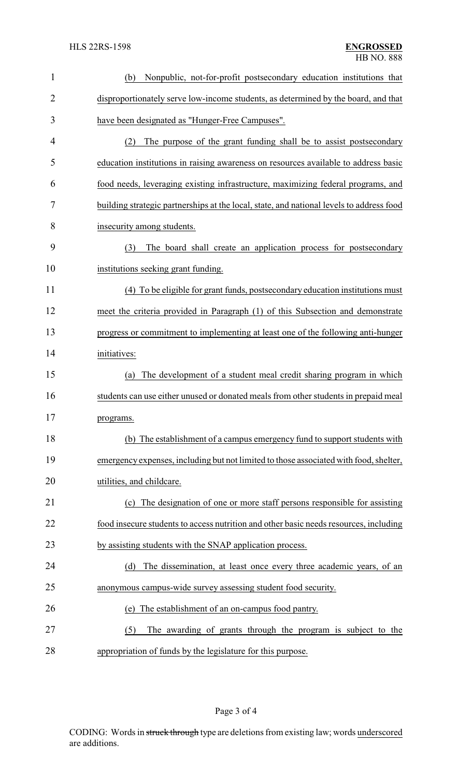| $\mathbf{1}$   | Nonpublic, not-for-profit postsecondary education institutions that<br>(b)               |
|----------------|------------------------------------------------------------------------------------------|
| $\overline{2}$ | disproportionately serve low-income students, as determined by the board, and that       |
| 3              | have been designated as "Hunger-Free Campuses".                                          |
| 4              | The purpose of the grant funding shall be to assist postsecondary<br>(2)                 |
| 5              | education institutions in raising awareness on resources available to address basic      |
| 6              | food needs, leveraging existing infrastructure, maximizing federal programs, and         |
| 7              | building strategic partnerships at the local, state, and national levels to address food |
| 8              | insecurity among students.                                                               |
| 9              | (3)<br>The board shall create an application process for postsecondary                   |
| 10             | institutions seeking grant funding.                                                      |
| 11             | (4) To be eligible for grant funds, postsecondary education institutions must            |
| 12             | meet the criteria provided in Paragraph (1) of this Subsection and demonstrate           |
| 13             | progress or commitment to implementing at least one of the following anti-hunger         |
| 14             | initiatives:                                                                             |
| 15             | The development of a student meal credit sharing program in which<br>(a)                 |
| 16             | students can use either unused or donated meals from other students in prepaid meal      |
| 17             | programs.                                                                                |
| 18             | (b) The establishment of a campus emergency fund to support students with                |
| 19             | emergency expenses, including but not limited to those associated with food, shelter,    |
| 20             | utilities, and childcare.                                                                |
| 21             | (c) The designation of one or more staff persons responsible for assisting               |
| 22             | food insecure students to access nutrition and other basic needs resources, including    |
| 23             | by assisting students with the SNAP application process.                                 |
| 24             | (d)<br>The dissemination, at least once every three academic years, of an                |
| 25             | anonymous campus-wide survey assessing student food security.                            |
| 26             | The establishment of an on-campus food pantry.<br>(e)                                    |
| 27             | (5)<br>The awarding of grants through the program is subject to the                      |
| 28             | appropriation of funds by the legislature for this purpose.                              |